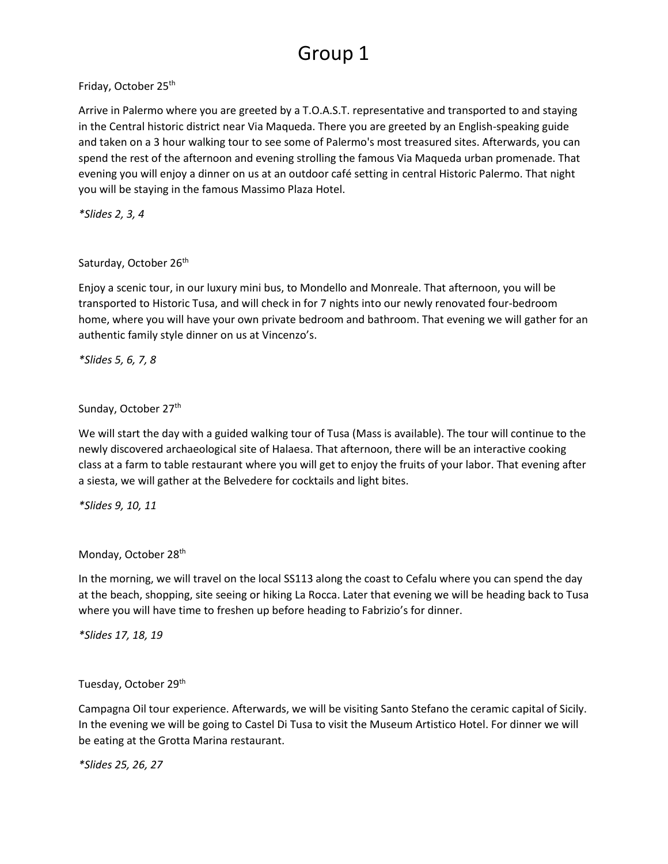# Group 1

Friday, October 25th

Arrive in Palermo where you are greeted by a T.O.A.S.T. representative and transported to and staying in the Central historic district near Via Maqueda. There you are greeted by an English-speaking guide and taken on a 3 hour walking tour to see some of Palermo's most treasured sites. Afterwards, you can spend the rest of the afternoon and evening strolling the famous Via Maqueda urban promenade. That evening you will enjoy a dinner on us at an outdoor café setting in central Historic Palermo. That night you will be staying in the famous Massimo Plaza Hotel.

*\*Slides 2, 3, 4*

#### Saturday, October 26<sup>th</sup>

Enjoy a scenic tour, in our luxury mini bus, to Mondello and Monreale. That afternoon, you will be transported to Historic Tusa, and will check in for 7 nights into our newly renovated four-bedroom home, where you will have your own private bedroom and bathroom. That evening we will gather for an authentic family style dinner on us at Vincenzo's.

*\*Slides 5, 6, 7, 8*

### Sunday, October 27<sup>th</sup>

We will start the day with a guided walking tour of Tusa (Mass is available). The tour will continue to the newly discovered archaeological site of Halaesa. That afternoon, there will be an interactive cooking class at a farm to table restaurant where you will get to enjoy the fruits of your labor. That evening after a siesta, we will gather at the Belvedere for cocktails and light bites.

*\*Slides 9, 10, 11*

#### Monday, October 28<sup>th</sup>

In the morning, we will travel on the local SS113 along the coast to Cefalu where you can spend the day at the beach, shopping, site seeing or hiking La Rocca. Later that evening we will be heading back to Tusa where you will have time to freshen up before heading to Fabrizio's for dinner.

*\*Slides 17, 18, 19*

#### Tuesday, October 29th

Campagna Oil tour experience. Afterwards, we will be visiting Santo Stefano the ceramic capital of Sicily. In the evening we will be going to Castel Di Tusa to visit the Museum Artistico Hotel. For dinner we will be eating at the Grotta Marina restaurant.

*\*Slides 25, 26, 27*